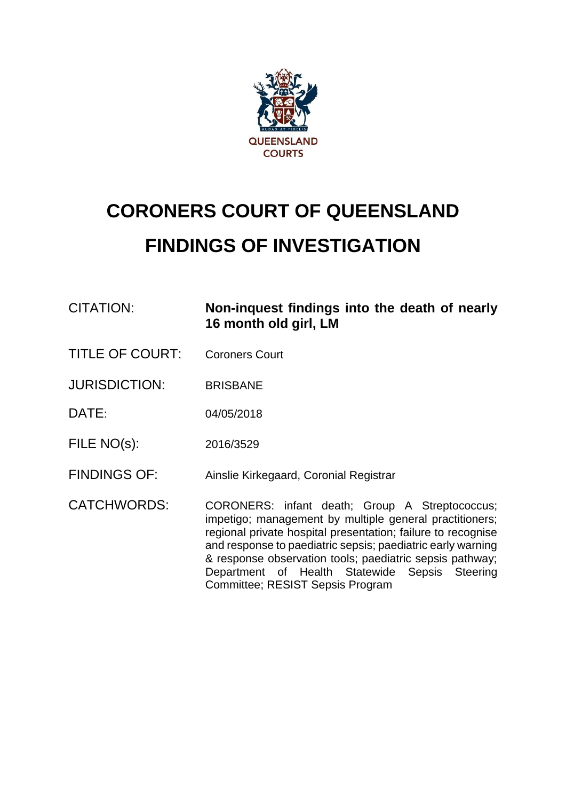

# **CORONERS COURT OF QUEENSLAND FINDINGS OF INVESTIGATION**

| CITATION: | Non-inquest findings into the death of nearly |
|-----------|-----------------------------------------------|
|           | 16 month old girl, LM                         |

TITLE OF COURT: Coroners Court

JURISDICTION: BRISBANE

DATE: 04/05/2018

FILE NO(s): 2016/3529

FINDINGS OF: Ainslie Kirkegaard, Coronial Registrar

CATCHWORDS: CORONERS: infant death; Group A Streptococcus; impetigo; management by multiple general practitioners; regional private hospital presentation; failure to recognise and response to paediatric sepsis; paediatric early warning & response observation tools; paediatric sepsis pathway; Department of Health Statewide Sepsis Steering Committee; RESIST Sepsis Program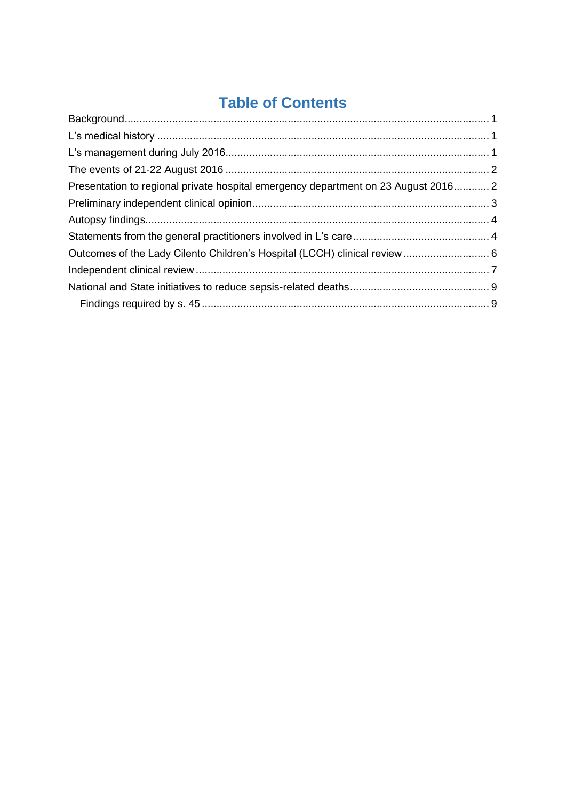## **Table of Contents**

| Presentation to regional private hospital emergency department on 23 August 2016 2 |  |
|------------------------------------------------------------------------------------|--|
|                                                                                    |  |
|                                                                                    |  |
|                                                                                    |  |
| Outcomes of the Lady Cilento Children's Hospital (LCCH) clinical review  6         |  |
|                                                                                    |  |
|                                                                                    |  |
|                                                                                    |  |
|                                                                                    |  |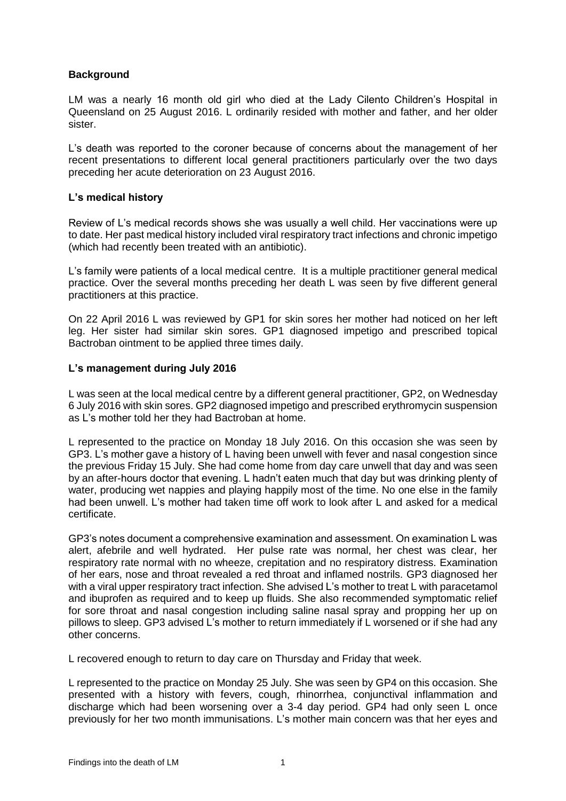#### <span id="page-2-0"></span>**Background**

LM was a nearly 16 month old girl who died at the Lady Cilento Children's Hospital in Queensland on 25 August 2016. L ordinarily resided with mother and father, and her older sister.

L's death was reported to the coroner because of concerns about the management of her recent presentations to different local general practitioners particularly over the two days preceding her acute deterioration on 23 August 2016.

#### <span id="page-2-1"></span>**L's medical history**

Review of L's medical records shows she was usually a well child. Her vaccinations were up to date. Her past medical history included viral respiratory tract infections and chronic impetigo (which had recently been treated with an antibiotic).

L's family were patients of a local medical centre. It is a multiple practitioner general medical practice. Over the several months preceding her death L was seen by five different general practitioners at this practice.

On 22 April 2016 L was reviewed by GP1 for skin sores her mother had noticed on her left leg. Her sister had similar skin sores. GP1 diagnosed impetigo and prescribed topical Bactroban ointment to be applied three times daily.

#### <span id="page-2-2"></span>**L's management during July 2016**

L was seen at the local medical centre by a different general practitioner, GP2, on Wednesday 6 July 2016 with skin sores. GP2 diagnosed impetigo and prescribed erythromycin suspension as L's mother told her they had Bactroban at home.

L represented to the practice on Monday 18 July 2016. On this occasion she was seen by GP3. L's mother gave a history of L having been unwell with fever and nasal congestion since the previous Friday 15 July. She had come home from day care unwell that day and was seen by an after-hours doctor that evening. L hadn't eaten much that day but was drinking plenty of water, producing wet nappies and playing happily most of the time. No one else in the family had been unwell. L's mother had taken time off work to look after L and asked for a medical certificate.

GP3's notes document a comprehensive examination and assessment. On examination L was alert, afebrile and well hydrated. Her pulse rate was normal, her chest was clear, her respiratory rate normal with no wheeze, crepitation and no respiratory distress. Examination of her ears, nose and throat revealed a red throat and inflamed nostrils. GP3 diagnosed her with a viral upper respiratory tract infection. She advised L's mother to treat L with paracetamol and ibuprofen as required and to keep up fluids. She also recommended symptomatic relief for sore throat and nasal congestion including saline nasal spray and propping her up on pillows to sleep. GP3 advised L's mother to return immediately if L worsened or if she had any other concerns.

L recovered enough to return to day care on Thursday and Friday that week.

L represented to the practice on Monday 25 July. She was seen by GP4 on this occasion. She presented with a history with fevers, cough, rhinorrhea, conjunctival inflammation and discharge which had been worsening over a 3-4 day period. GP4 had only seen L once previously for her two month immunisations. L's mother main concern was that her eyes and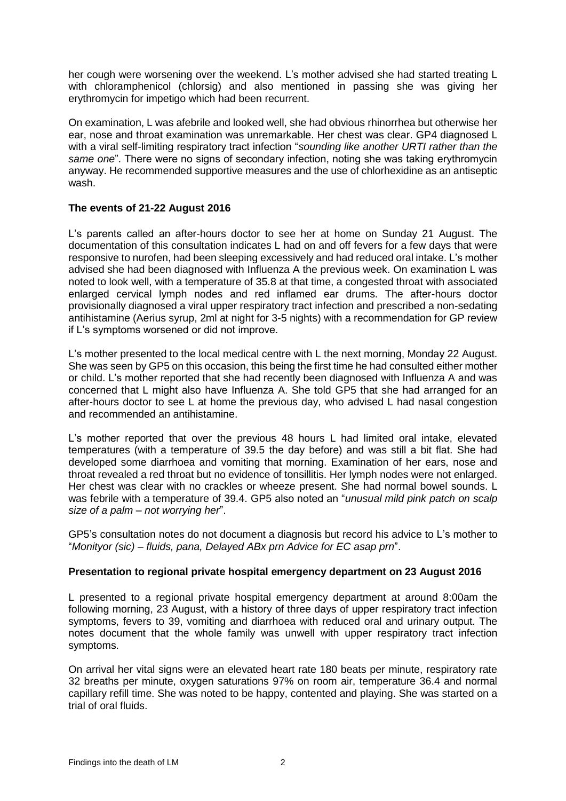her cough were worsening over the weekend. L's mother advised she had started treating L with chloramphenicol (chlorsig) and also mentioned in passing she was giving her erythromycin for impetigo which had been recurrent.

On examination, L was afebrile and looked well, she had obvious rhinorrhea but otherwise her ear, nose and throat examination was unremarkable. Her chest was clear. GP4 diagnosed L with a viral self-limiting respiratory tract infection "*sounding like another URTI rather than the same one*". There were no signs of secondary infection, noting she was taking erythromycin anyway. He recommended supportive measures and the use of chlorhexidine as an antiseptic wash.

#### <span id="page-3-0"></span>**The events of 21-22 August 2016**

L's parents called an after-hours doctor to see her at home on Sunday 21 August. The documentation of this consultation indicates L had on and off fevers for a few days that were responsive to nurofen, had been sleeping excessively and had reduced oral intake. L's mother advised she had been diagnosed with Influenza A the previous week. On examination L was noted to look well, with a temperature of 35.8 at that time, a congested throat with associated enlarged cervical lymph nodes and red inflamed ear drums. The after-hours doctor provisionally diagnosed a viral upper respiratory tract infection and prescribed a non-sedating antihistamine (Aerius syrup, 2ml at night for 3-5 nights) with a recommendation for GP review if L's symptoms worsened or did not improve.

L's mother presented to the local medical centre with L the next morning, Monday 22 August. She was seen by GP5 on this occasion, this being the first time he had consulted either mother or child. L's mother reported that she had recently been diagnosed with Influenza A and was concerned that L might also have Influenza A. She told GP5 that she had arranged for an after-hours doctor to see L at home the previous day, who advised L had nasal congestion and recommended an antihistamine.

L's mother reported that over the previous 48 hours L had limited oral intake, elevated temperatures (with a temperature of 39.5 the day before) and was still a bit flat. She had developed some diarrhoea and vomiting that morning. Examination of her ears, nose and throat revealed a red throat but no evidence of tonsillitis. Her lymph nodes were not enlarged. Her chest was clear with no crackles or wheeze present. She had normal bowel sounds. L was febrile with a temperature of 39.4. GP5 also noted an "*unusual mild pink patch on scalp size of a palm – not worrying her*".

GP5's consultation notes do not document a diagnosis but record his advice to L's mother to "*Monityor (sic) – fluids, pana, Delayed ABx prn Advice for EC asap prn*".

#### <span id="page-3-1"></span>**Presentation to regional private hospital emergency department on 23 August 2016**

L presented to a regional private hospital emergency department at around 8:00am the following morning, 23 August, with a history of three days of upper respiratory tract infection symptoms, fevers to 39, vomiting and diarrhoea with reduced oral and urinary output. The notes document that the whole family was unwell with upper respiratory tract infection symptoms.

On arrival her vital signs were an elevated heart rate 180 beats per minute, respiratory rate 32 breaths per minute, oxygen saturations 97% on room air, temperature 36.4 and normal capillary refill time. She was noted to be happy, contented and playing. She was started on a trial of oral fluids.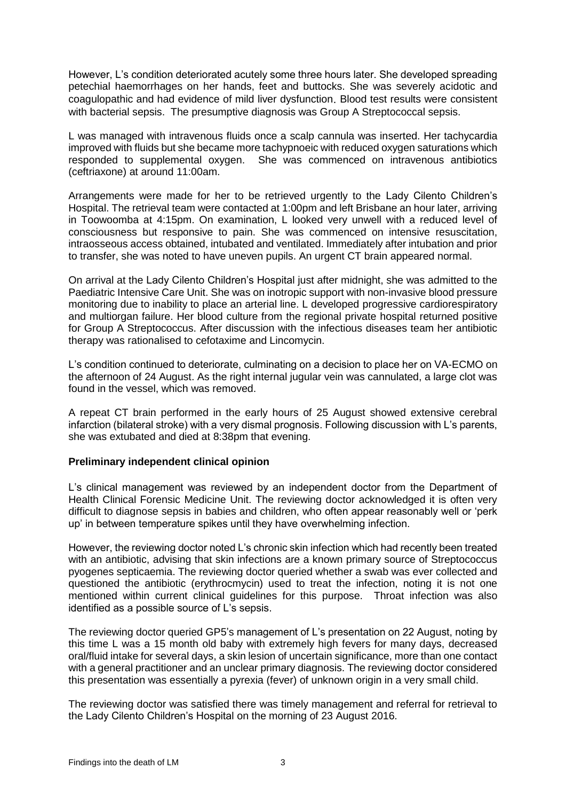However, L's condition deteriorated acutely some three hours later. She developed spreading petechial haemorrhages on her hands, feet and buttocks. She was severely acidotic and coagulopathic and had evidence of mild liver dysfunction. Blood test results were consistent with bacterial sepsis. The presumptive diagnosis was Group A Streptococcal sepsis.

L was managed with intravenous fluids once a scalp cannula was inserted. Her tachycardia improved with fluids but she became more tachypnoeic with reduced oxygen saturations which responded to supplemental oxygen. She was commenced on intravenous antibiotics (ceftriaxone) at around 11:00am.

Arrangements were made for her to be retrieved urgently to the Lady Cilento Children's Hospital. The retrieval team were contacted at 1:00pm and left Brisbane an hour later, arriving in Toowoomba at 4:15pm. On examination, L looked very unwell with a reduced level of consciousness but responsive to pain. She was commenced on intensive resuscitation, intraosseous access obtained, intubated and ventilated. Immediately after intubation and prior to transfer, she was noted to have uneven pupils. An urgent CT brain appeared normal.

On arrival at the Lady Cilento Children's Hospital just after midnight, she was admitted to the Paediatric Intensive Care Unit. She was on inotropic support with non-invasive blood pressure monitoring due to inability to place an arterial line. L developed progressive cardiorespiratory and multiorgan failure. Her blood culture from the regional private hospital returned positive for Group A Streptococcus. After discussion with the infectious diseases team her antibiotic therapy was rationalised to cefotaxime and Lincomycin.

L's condition continued to deteriorate, culminating on a decision to place her on VA-ECMO on the afternoon of 24 August. As the right internal jugular vein was cannulated, a large clot was found in the vessel, which was removed.

A repeat CT brain performed in the early hours of 25 August showed extensive cerebral infarction (bilateral stroke) with a very dismal prognosis. Following discussion with L's parents, she was extubated and died at 8:38pm that evening.

#### <span id="page-4-0"></span>**Preliminary independent clinical opinion**

L's clinical management was reviewed by an independent doctor from the Department of Health Clinical Forensic Medicine Unit. The reviewing doctor acknowledged it is often very difficult to diagnose sepsis in babies and children, who often appear reasonably well or 'perk up' in between temperature spikes until they have overwhelming infection.

However, the reviewing doctor noted L's chronic skin infection which had recently been treated with an antibiotic, advising that skin infections are a known primary source of Streptococcus pyogenes septicaemia. The reviewing doctor queried whether a swab was ever collected and questioned the antibiotic (erythrocmycin) used to treat the infection, noting it is not one mentioned within current clinical guidelines for this purpose. Throat infection was also identified as a possible source of L's sepsis.

The reviewing doctor queried GP5's management of L's presentation on 22 August, noting by this time L was a 15 month old baby with extremely high fevers for many days, decreased oral/fluid intake for several days, a skin lesion of uncertain significance, more than one contact with a general practitioner and an unclear primary diagnosis. The reviewing doctor considered this presentation was essentially a pyrexia (fever) of unknown origin in a very small child.

The reviewing doctor was satisfied there was timely management and referral for retrieval to the Lady Cilento Children's Hospital on the morning of 23 August 2016.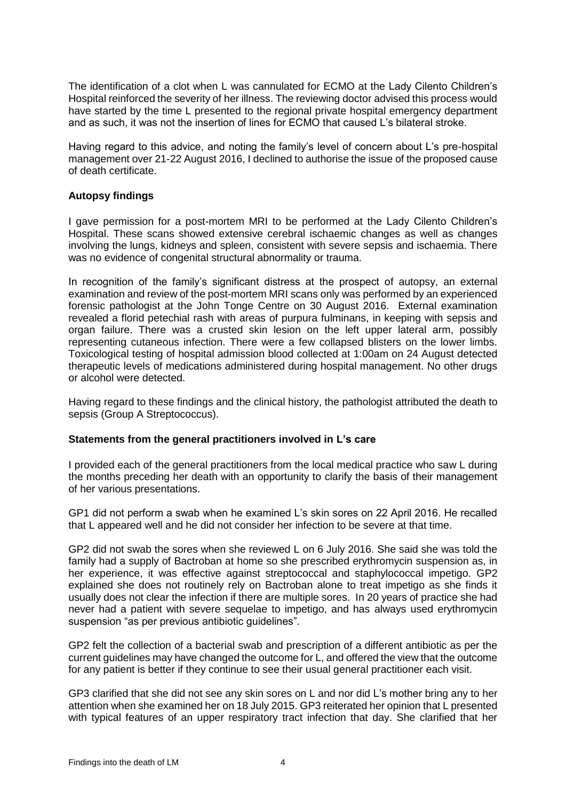The identification of a clot when L was cannulated for ECMO at the Lady Cilento Children's Hospital reinforced the severity of her illness. The reviewing doctor advised this process would have started by the time L presented to the regional private hospital emergency department and as such, it was not the insertion of lines for ECMO that caused L's bilateral stroke.

Having regard to this advice, and noting the family's level of concern about L's pre-hospital management over 21-22 August 2016, I declined to authorise the issue of the proposed cause of death certificate.

#### <span id="page-5-0"></span>**Autopsy findings**

I gave permission for a post-mortem MRI to be performed at the Lady Cilento Children's Hospital. These scans showed extensive cerebral ischaemic changes as well as changes involving the lungs, kidneys and spleen, consistent with severe sepsis and ischaemia. There was no evidence of congenital structural abnormality or trauma.

In recognition of the family's significant distress at the prospect of autopsy, an external examination and review of the post-mortem MRI scans only was performed by an experienced forensic pathologist at the John Tonge Centre on 30 August 2016. External examination revealed a florid petechial rash with areas of purpura fulminans, in keeping with sepsis and organ failure. There was a crusted skin lesion on the left upper lateral arm, possibly representing cutaneous infection. There were a few collapsed blisters on the lower limbs. Toxicological testing of hospital admission blood collected at 1:00am on 24 August detected therapeutic levels of medications administered during hospital management. No other drugs or alcohol were detected.

Having regard to these findings and the clinical history, the pathologist attributed the death to sepsis (Group A Streptococcus).

#### <span id="page-5-1"></span>**Statements from the general practitioners involved in L's care**

I provided each of the general practitioners from the local medical practice who saw L during the months preceding her death with an opportunity to clarify the basis of their management of her various presentations.

GP1 did not perform a swab when he examined L's skin sores on 22 April 2016. He recalled that L appeared well and he did not consider her infection to be severe at that time.

GP2 did not swab the sores when she reviewed L on 6 July 2016. She said she was told the family had a supply of Bactroban at home so she prescribed erythromycin suspension as, in her experience, it was effective against streptococcal and staphylococcal impetigo. GP2 explained she does not routinely rely on Bactroban alone to treat impetigo as she finds it usually does not clear the infection if there are multiple sores. In 20 years of practice she had never had a patient with severe sequelae to impetigo, and has always used erythromycin suspension "as per previous antibiotic guidelines".

GP2 felt the collection of a bacterial swab and prescription of a different antibiotic as per the current guidelines may have changed the outcome for L, and offered the view that the outcome for any patient is better if they continue to see their usual general practitioner each visit.

GP3 clarified that she did not see any skin sores on L and nor did L's mother bring any to her attention when she examined her on 18 July 2015. GP3 reiterated her opinion that L presented with typical features of an upper respiratory tract infection that day. She clarified that her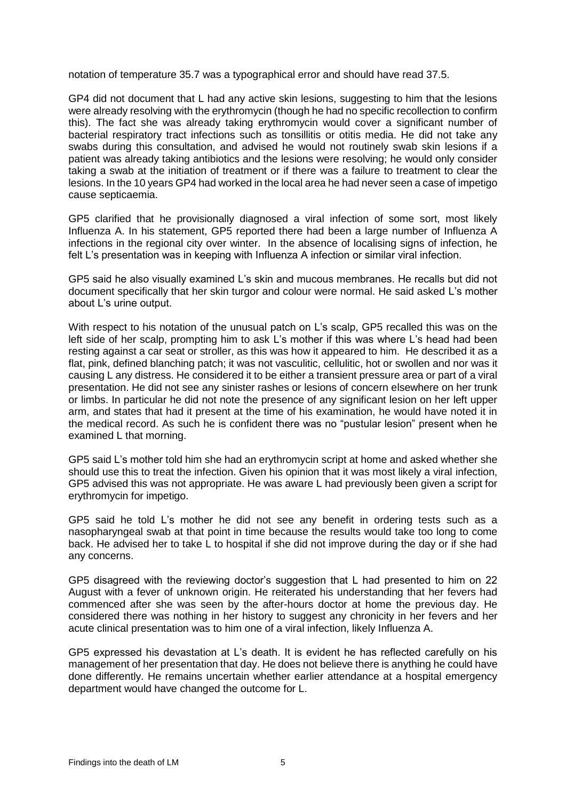notation of temperature 35.7 was a typographical error and should have read 37.5.

GP4 did not document that L had any active skin lesions, suggesting to him that the lesions were already resolving with the erythromycin (though he had no specific recollection to confirm this). The fact she was already taking erythromycin would cover a significant number of bacterial respiratory tract infections such as tonsillitis or otitis media. He did not take any swabs during this consultation, and advised he would not routinely swab skin lesions if a patient was already taking antibiotics and the lesions were resolving; he would only consider taking a swab at the initiation of treatment or if there was a failure to treatment to clear the lesions. In the 10 years GP4 had worked in the local area he had never seen a case of impetigo cause septicaemia.

GP5 clarified that he provisionally diagnosed a viral infection of some sort, most likely Influenza A. In his statement, GP5 reported there had been a large number of Influenza A infections in the regional city over winter. In the absence of localising signs of infection, he felt L's presentation was in keeping with Influenza A infection or similar viral infection.

GP5 said he also visually examined L's skin and mucous membranes. He recalls but did not document specifically that her skin turgor and colour were normal. He said asked L's mother about L's urine output.

With respect to his notation of the unusual patch on L's scalp, GP5 recalled this was on the left side of her scalp, prompting him to ask L's mother if this was where L's head had been resting against a car seat or stroller, as this was how it appeared to him. He described it as a flat, pink, defined blanching patch; it was not vasculitic, cellulitic, hot or swollen and nor was it causing L any distress. He considered it to be either a transient pressure area or part of a viral presentation. He did not see any sinister rashes or lesions of concern elsewhere on her trunk or limbs. In particular he did not note the presence of any significant lesion on her left upper arm, and states that had it present at the time of his examination, he would have noted it in the medical record. As such he is confident there was no "pustular lesion" present when he examined L that morning.

GP5 said L's mother told him she had an erythromycin script at home and asked whether she should use this to treat the infection. Given his opinion that it was most likely a viral infection, GP5 advised this was not appropriate. He was aware L had previously been given a script for erythromycin for impetigo.

GP5 said he told L's mother he did not see any benefit in ordering tests such as a nasopharyngeal swab at that point in time because the results would take too long to come back. He advised her to take L to hospital if she did not improve during the day or if she had any concerns.

GP5 disagreed with the reviewing doctor's suggestion that L had presented to him on 22 August with a fever of unknown origin. He reiterated his understanding that her fevers had commenced after she was seen by the after-hours doctor at home the previous day. He considered there was nothing in her history to suggest any chronicity in her fevers and her acute clinical presentation was to him one of a viral infection, likely Influenza A.

GP5 expressed his devastation at L's death. It is evident he has reflected carefully on his management of her presentation that day. He does not believe there is anything he could have done differently. He remains uncertain whether earlier attendance at a hospital emergency department would have changed the outcome for L.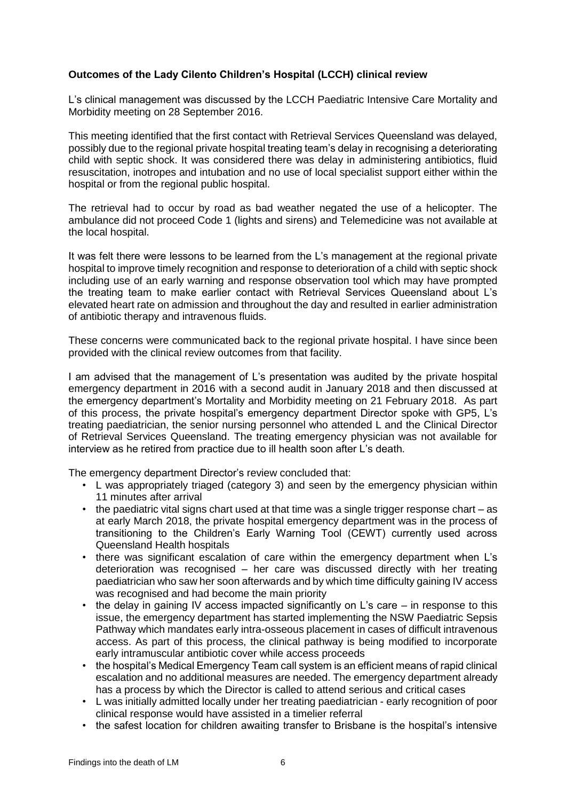#### <span id="page-7-0"></span>**Outcomes of the Lady Cilento Children's Hospital (LCCH) clinical review**

L's clinical management was discussed by the LCCH Paediatric Intensive Care Mortality and Morbidity meeting on 28 September 2016.

This meeting identified that the first contact with Retrieval Services Queensland was delayed, possibly due to the regional private hospital treating team's delay in recognising a deteriorating child with septic shock. It was considered there was delay in administering antibiotics, fluid resuscitation, inotropes and intubation and no use of local specialist support either within the hospital or from the regional public hospital.

The retrieval had to occur by road as bad weather negated the use of a helicopter. The ambulance did not proceed Code 1 (lights and sirens) and Telemedicine was not available at the local hospital.

It was felt there were lessons to be learned from the L's management at the regional private hospital to improve timely recognition and response to deterioration of a child with septic shock including use of an early warning and response observation tool which may have prompted the treating team to make earlier contact with Retrieval Services Queensland about L's elevated heart rate on admission and throughout the day and resulted in earlier administration of antibiotic therapy and intravenous fluids.

These concerns were communicated back to the regional private hospital. I have since been provided with the clinical review outcomes from that facility.

I am advised that the management of L's presentation was audited by the private hospital emergency department in 2016 with a second audit in January 2018 and then discussed at the emergency department's Mortality and Morbidity meeting on 21 February 2018. As part of this process, the private hospital's emergency department Director spoke with GP5, L's treating paediatrician, the senior nursing personnel who attended L and the Clinical Director of Retrieval Services Queensland. The treating emergency physician was not available for interview as he retired from practice due to ill health soon after L's death.

The emergency department Director's review concluded that:

- L was appropriately triaged (category 3) and seen by the emergency physician within 11 minutes after arrival
- the paediatric vital signs chart used at that time was a single trigger response chart as at early March 2018, the private hospital emergency department was in the process of transitioning to the Children's Early Warning Tool (CEWT) currently used across Queensland Health hospitals
- there was significant escalation of care within the emergency department when L's deterioration was recognised – her care was discussed directly with her treating paediatrician who saw her soon afterwards and by which time difficulty gaining IV access was recognised and had become the main priority
- the delay in gaining IV access impacted significantly on L's care  $-$  in response to this issue, the emergency department has started implementing the NSW Paediatric Sepsis Pathway which mandates early intra-osseous placement in cases of difficult intravenous access. As part of this process, the clinical pathway is being modified to incorporate early intramuscular antibiotic cover while access proceeds
- the hospital's Medical Emergency Team call system is an efficient means of rapid clinical escalation and no additional measures are needed. The emergency department already has a process by which the Director is called to attend serious and critical cases
- L was initially admitted locally under her treating paediatrician early recognition of poor clinical response would have assisted in a timelier referral
- the safest location for children awaiting transfer to Brisbane is the hospital's intensive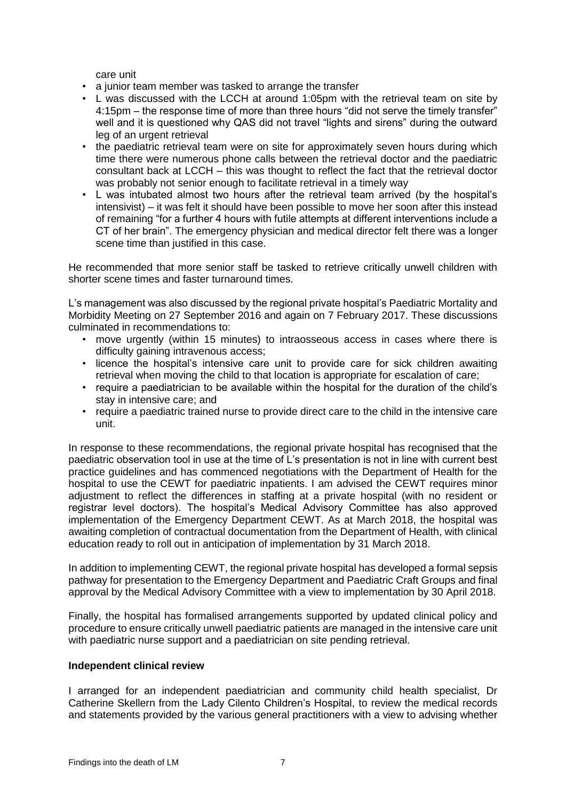care unit

- a junior team member was tasked to arrange the transfer
- L was discussed with the LCCH at around 1:05pm with the retrieval team on site by 4:15pm – the response time of more than three hours "did not serve the timely transfer" well and it is questioned why QAS did not travel "lights and sirens" during the outward leg of an urgent retrieval
- the paediatric retrieval team were on site for approximately seven hours during which time there were numerous phone calls between the retrieval doctor and the paediatric consultant back at LCCH – this was thought to reflect the fact that the retrieval doctor was probably not senior enough to facilitate retrieval in a timely way
- L was intubated almost two hours after the retrieval team arrived (by the hospital's intensivist) – it was felt it should have been possible to move her soon after this instead of remaining "for a further 4 hours with futile attempts at different interventions include a CT of her brain". The emergency physician and medical director felt there was a longer scene time than justified in this case.

He recommended that more senior staff be tasked to retrieve critically unwell children with shorter scene times and faster turnaround times.

L's management was also discussed by the regional private hospital's Paediatric Mortality and Morbidity Meeting on 27 September 2016 and again on 7 February 2017. These discussions culminated in recommendations to:

- move urgently (within 15 minutes) to intraosseous access in cases where there is difficulty gaining intravenous access;
- licence the hospital's intensive care unit to provide care for sick children awaiting retrieval when moving the child to that location is appropriate for escalation of care;
- require a paediatrician to be available within the hospital for the duration of the child's stay in intensive care; and
- require a paediatric trained nurse to provide direct care to the child in the intensive care unit.

In response to these recommendations, the regional private hospital has recognised that the paediatric observation tool in use at the time of L's presentation is not in line with current best practice guidelines and has commenced negotiations with the Department of Health for the hospital to use the CEWT for paediatric inpatients. I am advised the CEWT requires minor adjustment to reflect the differences in staffing at a private hospital (with no resident or registrar level doctors). The hospital's Medical Advisory Committee has also approved implementation of the Emergency Department CEWT. As at March 2018, the hospital was awaiting completion of contractual documentation from the Department of Health, with clinical education ready to roll out in anticipation of implementation by 31 March 2018.

In addition to implementing CEWT, the regional private hospital has developed a formal sepsis pathway for presentation to the Emergency Department and Paediatric Craft Groups and final approval by the Medical Advisory Committee with a view to implementation by 30 April 2018.

Finally, the hospital has formalised arrangements supported by updated clinical policy and procedure to ensure critically unwell paediatric patients are managed in the intensive care unit with paediatric nurse support and a paediatrician on site pending retrieval.

#### <span id="page-8-0"></span>**Independent clinical review**

I arranged for an independent paediatrician and community child health specialist, Dr Catherine Skellern from the Lady Cilento Children's Hospital, to review the medical records and statements provided by the various general practitioners with a view to advising whether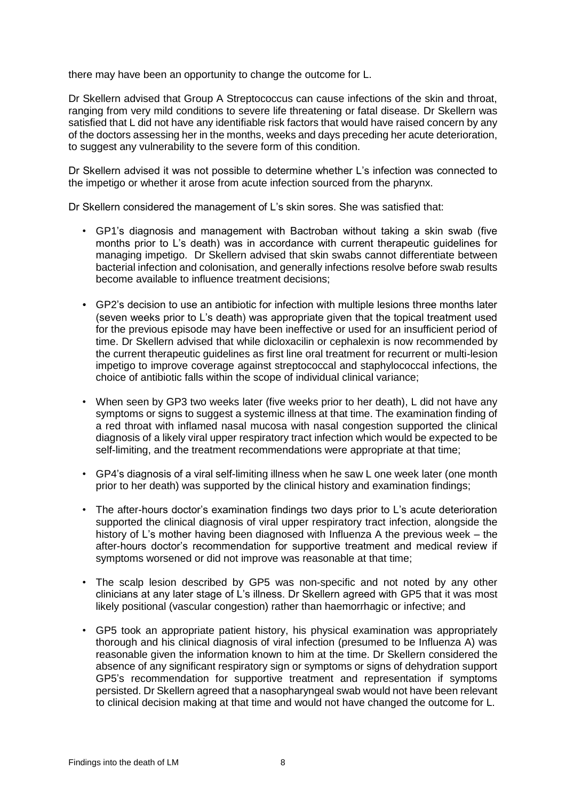there may have been an opportunity to change the outcome for L.

Dr Skellern advised that Group A Streptococcus can cause infections of the skin and throat, ranging from very mild conditions to severe life threatening or fatal disease. Dr Skellern was satisfied that L did not have any identifiable risk factors that would have raised concern by any of the doctors assessing her in the months, weeks and days preceding her acute deterioration, to suggest any vulnerability to the severe form of this condition.

Dr Skellern advised it was not possible to determine whether L's infection was connected to the impetigo or whether it arose from acute infection sourced from the pharynx.

Dr Skellern considered the management of L's skin sores. She was satisfied that:

- GP1's diagnosis and management with Bactroban without taking a skin swab (five months prior to L's death) was in accordance with current therapeutic guidelines for managing impetigo. Dr Skellern advised that skin swabs cannot differentiate between bacterial infection and colonisation, and generally infections resolve before swab results become available to influence treatment decisions;
- GP2's decision to use an antibiotic for infection with multiple lesions three months later (seven weeks prior to L's death) was appropriate given that the topical treatment used for the previous episode may have been ineffective or used for an insufficient period of time. Dr Skellern advised that while dicloxacilin or cephalexin is now recommended by the current therapeutic guidelines as first line oral treatment for recurrent or multi-lesion impetigo to improve coverage against streptococcal and staphylococcal infections, the choice of antibiotic falls within the scope of individual clinical variance;
- When seen by GP3 two weeks later (five weeks prior to her death). L did not have any symptoms or signs to suggest a systemic illness at that time. The examination finding of a red throat with inflamed nasal mucosa with nasal congestion supported the clinical diagnosis of a likely viral upper respiratory tract infection which would be expected to be self-limiting, and the treatment recommendations were appropriate at that time;
- GP4's diagnosis of a viral self-limiting illness when he saw L one week later (one month prior to her death) was supported by the clinical history and examination findings;
- The after-hours doctor's examination findings two days prior to L's acute deterioration supported the clinical diagnosis of viral upper respiratory tract infection, alongside the history of L's mother having been diagnosed with Influenza A the previous week – the after-hours doctor's recommendation for supportive treatment and medical review if symptoms worsened or did not improve was reasonable at that time;
- The scalp lesion described by GP5 was non-specific and not noted by any other clinicians at any later stage of L's illness. Dr Skellern agreed with GP5 that it was most likely positional (vascular congestion) rather than haemorrhagic or infective; and
- GP5 took an appropriate patient history, his physical examination was appropriately thorough and his clinical diagnosis of viral infection (presumed to be Influenza A) was reasonable given the information known to him at the time. Dr Skellern considered the absence of any significant respiratory sign or symptoms or signs of dehydration support GP5's recommendation for supportive treatment and representation if symptoms persisted. Dr Skellern agreed that a nasopharyngeal swab would not have been relevant to clinical decision making at that time and would not have changed the outcome for L.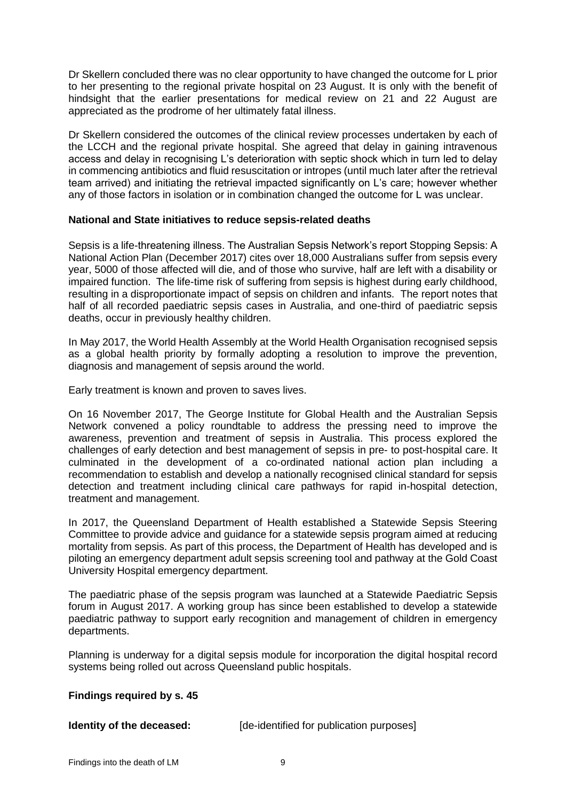Dr Skellern concluded there was no clear opportunity to have changed the outcome for L prior to her presenting to the regional private hospital on 23 August. It is only with the benefit of hindsight that the earlier presentations for medical review on 21 and 22 August are appreciated as the prodrome of her ultimately fatal illness.

Dr Skellern considered the outcomes of the clinical review processes undertaken by each of the LCCH and the regional private hospital. She agreed that delay in gaining intravenous access and delay in recognising L's deterioration with septic shock which in turn led to delay in commencing antibiotics and fluid resuscitation or intropes (until much later after the retrieval team arrived) and initiating the retrieval impacted significantly on L's care; however whether any of those factors in isolation or in combination changed the outcome for L was unclear.

#### <span id="page-10-0"></span>**National and State initiatives to reduce sepsis-related deaths**

Sepsis is a life-threatening illness. The Australian Sepsis Network's report Stopping Sepsis: A National Action Plan (December 2017) cites over 18,000 Australians suffer from sepsis every year, 5000 of those affected will die, and of those who survive, half are left with a disability or impaired function. The life-time risk of suffering from sepsis is highest during early childhood, resulting in a disproportionate impact of sepsis on children and infants. The report notes that half of all recorded paediatric sepsis cases in Australia, and one-third of paediatric sepsis deaths, occur in previously healthy children.

In May 2017, the World Health Assembly at the World Health Organisation recognised sepsis as a global health priority by formally adopting a resolution to improve the prevention, diagnosis and management of sepsis around the world.

Early treatment is known and proven to saves lives.

On 16 November 2017, The George Institute for Global Health and the Australian Sepsis Network convened a policy roundtable to address the pressing need to improve the awareness, prevention and treatment of sepsis in Australia. This process explored the challenges of early detection and best management of sepsis in pre- to post-hospital care. It culminated in the development of a co-ordinated national action plan including a recommendation to establish and develop a nationally recognised clinical standard for sepsis detection and treatment including clinical care pathways for rapid in-hospital detection, treatment and management.

In 2017, the Queensland Department of Health established a Statewide Sepsis Steering Committee to provide advice and guidance for a statewide sepsis program aimed at reducing mortality from sepsis. As part of this process, the Department of Health has developed and is piloting an emergency department adult sepsis screening tool and pathway at the Gold Coast University Hospital emergency department.

The paediatric phase of the sepsis program was launched at a Statewide Paediatric Sepsis forum in August 2017. A working group has since been established to develop a statewide paediatric pathway to support early recognition and management of children in emergency departments.

Planning is underway for a digital sepsis module for incorporation the digital hospital record systems being rolled out across Queensland public hospitals.

### <span id="page-10-1"></span>**Findings required by s. 45**

| Identity of the deceased: | [de-identified for publication purposes] |  |
|---------------------------|------------------------------------------|--|
|                           |                                          |  |